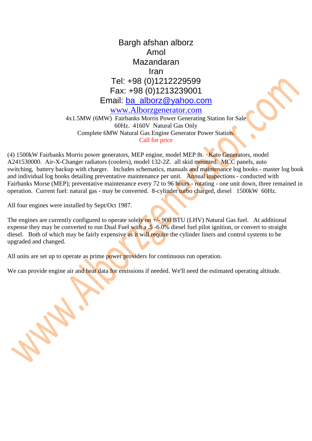## Bargh afshan alborz Amol Mazandaran Iran Tel: +98 (0)1212229599 Fax: +98 (0)1213239001 Email: [ba\\_alborz@yahoo.com](mailto:ba_alborz@yahoo.com) [www.Alborzgenerator.com](http://www.alborzgenerator.com/) 4x1.5MW (6MW) Fairbanks Morris Power Generating Station for Sale 60Hz. 4160V Natural Gas Only Complete 6MW Natural Gas Engine Generator Power Station. Call for price

(4) 1500kW Fairbanks Morris power generators, MEP engine, model MEP 8t. Kato Generators, model A241530000. Air-X-Changer radiators (coolers), model 132-2Z. all skid mounted. MCC panels, auto switching, battery backup with charger. Includes schematics, manuals and maintenance log books - master log book and individual log books detailing preventative maintenance per unit. Annual inspections - conducted with Fairbanks Morse (MEP); preventative maintenance every 72 to 96 hours - rotating - one unit down, three remained in operation. Current fuel: natural gas - may be converted. 8-cylinder turbo charged, diesel 1500kW 60Hz.

All four engines were installed by Sept/Oct 1987.

The engines are currently configured to operate solely on  $+/-900$  BTU (LHV) Natural Gas fuel. At additional expense they may be converted to run Dual Fuel with a .5 -6.0% diesel fuel pilot ignition, or convert to straight diesel. Both of which may be fairly expensive as it will require the cylinder liners and control systems to be upgraded and changed.

All units are set up to operate as prime power providers for continuous run operation.

We can provide engine air and heat data for emissions if needed. We'll need the estimated operating altitude.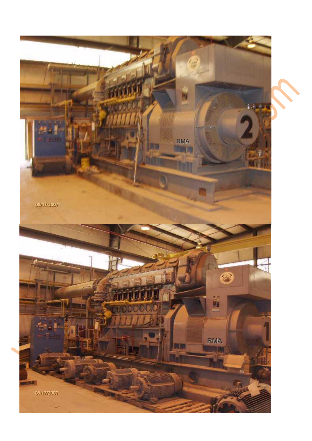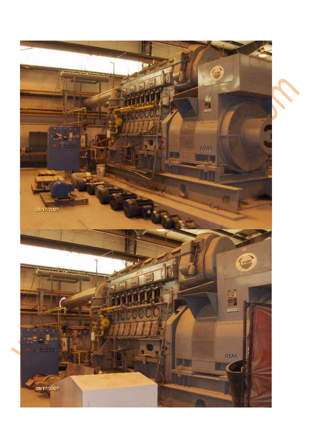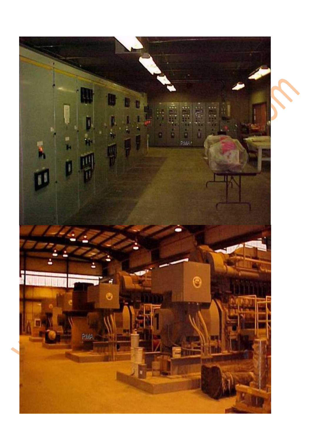